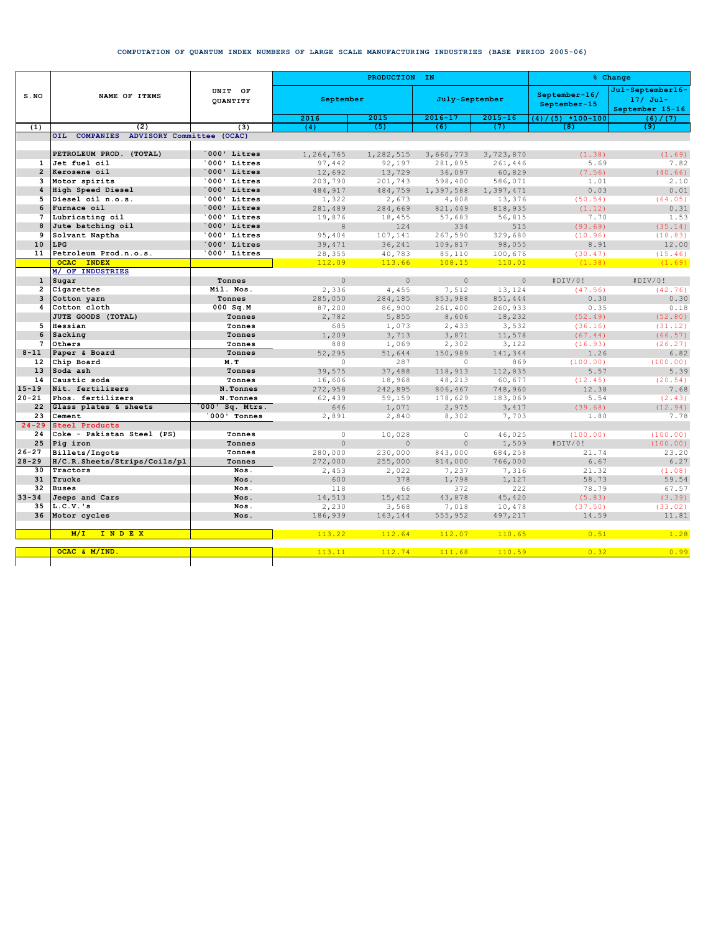## **COMPUTATION OF QUANTUM INDEX NUMBERS OF LARGE SCALE MANUFACTURING INDUSTRIES (BASE PERIOD 2005-06)**

|                 | NAME OF ITEMS                           | UNIT OF<br>OUANTITY | PRODUCTION IN |                |                |                 | % Change                      |                                                   |
|-----------------|-----------------------------------------|---------------------|---------------|----------------|----------------|-----------------|-------------------------------|---------------------------------------------------|
| $S$ . NO        |                                         |                     | September     |                | July-September |                 | September-16/<br>September-15 | Jul-September16-<br>$17/$ Jul-<br>September 15-16 |
|                 |                                         |                     | 2016          | 2015           | $2016 - 17$    | $2015 - 16$     | $(4) / (5) * 100 - 100$       | (6) / (7)                                         |
| (1)             | (2)                                     | (3)                 | (4)           | (5)            | (6)            | (7)             | (8)                           | (9)                                               |
|                 | OIL COMPANIES ADVISORY Committee (OCAC) |                     |               |                |                |                 |                               |                                                   |
|                 | PETROLEUM PROD. (TOTAL)                 | 000' Litres         | 1,264,765     | 1,282,515      | 3,660,773      | 3,723,870       | (1.38)                        | (1.69)                                            |
| $\mathbf{1}$    | Jet fuel oil                            | '000' Litres        | 97,442        | 92,197         | 281,895        | 261,446         | 5.69                          | 7.82                                              |
| $\overline{2}$  | Kerosene oil                            | 000' Litres         | 12,692        | 13,729         | 36,097         | 60,829          | (7.56)                        | (40.66)                                           |
| 3               | Motor spirits                           | '000' Litres        | 203,790       | 201,743        | 598,400        | 586,071         | 1.01                          | 2.10                                              |
| $\overline{4}$  | High Speed Diesel                       | 000' Litres         | 484,917       | 484,759        | 1,397,588      | 1,397,471       | 0.03                          | 0.01                                              |
| 5.              | Diesel oil n.o.s.                       | 000' Litres         | 1,322         | 2,673          | 4,808          | 13,376          | (50.54)                       | (64.05)                                           |
| 6               | Furnace oil                             | 000' Litres         | 281,489       | 284,669        | 821,449        | 818,935         | (1.12)                        | 0.31                                              |
| $\overline{7}$  | Lubricating oil                         | '000' Litres        | 19,876        | 18,455         | 57,683         | 56,815          | 7.70                          | 1.53                                              |
| 8               | Jute batching oil                       | 000' Litres         | $\mathbf{8}$  | 124            | 334            | 515             | (93.69)                       | (35.14)                                           |
| 9               | Solvant Naptha                          | '000' Litres        | 95,404        | 107,141        | 267,590        | 329,680         | (10.96)                       | (18.83)                                           |
| 10              | LPG                                     | 000' Litres         | 39,471        | 36,241         | 109,817        | 98,055          | 8.91                          | 12.00                                             |
| 11              | Petroleum Prod.n.o.s.                   | 000' Litres         | 28,355        | 40,783         | 85,110         | 100,676         | (30.47)                       | (15.46)                                           |
|                 | OCAC INDEX                              |                     | 112.09        | 113.66         | 108.15         | 110.01          | (1.38)                        | (1.69)                                            |
|                 | M/ OF INDUSTRIES                        |                     |               |                |                |                 |                               |                                                   |
| $\mathbf{1}$    | Sugar                                   | Tonnes              | $\Omega$      | $\cap$         | $\Omega$       | $\Omega$        | #DIV/0!                       | #DIV/0!                                           |
| $\overline{2}$  | Cigarettes                              | Mil. Nos.           | 2,336         | 4,455          | 7,512          | 13,124          | (47.56)                       | (42.76)                                           |
| 3               | Cotton yarn                             | Tonnes              | 285,050       | 284,185        | 853,988        | 851,444         | 0.30                          | 0.30                                              |
| 4               | Cotton cloth<br>JUTE GOODS (TOTAL)      | $000$ Sq.M          | 87,200        | 86,900         | 261,400        | 260,933         | 0.35                          | 0.18                                              |
| 5               | Hessian                                 | Tonnes<br>Tonnes    | 2,782         | 5,855          | 8,606          | 18,232          | (52.49)                       | (52.80)                                           |
| 6               | Sacking                                 | Tonnes              | 685<br>1,209  | 1,073<br>3,713 | 2,433<br>3,871 | 3,532<br>11,578 | (36.16)<br>(67.44)            | (31.12)<br>(66.57)                                |
| $\overline{7}$  | Others                                  | Tonnes              | 888           | 1,069          | 2,302          | 3,122           | (16.93)                       | (26.27)                                           |
| $8 - 11$        | Paper & Board                           | Tonnes              | 52,295        | 51,644         | 150,989        | 141,344         | 1.26                          | 6.82                                              |
| 12              | Chip Board                              | M.T                 | $\Omega$      | 287            | $\Omega$       | 869             | (100.00)                      | (100.00)                                          |
| 13 <sup>1</sup> | Soda ash                                | Tonnes              | 39,575        | 37,488         | 118,913        | 112,835         | 5.57                          | 5.39                                              |
| 14              | Caustic soda                            | Tonnes              | 16,606        | 18,968         | 48,213         | 60,677          | (12.45)                       | (20.54)                                           |
| $15 - 19$       | Nit. fertilizers                        | N.Tonnes            | 272,958       | 242,895        | 806,467        | 748,960         | 12.38                         | 7.68                                              |
| $20 - 21$       | Phos. fertilizers                       | N.Tonnes            | 62,439        | 59,159         | 178,629        | 183,069         | 5.54                          | (2.43)                                            |
| 22              | Glass plates & sheets                   | 000' Sq. Mtrs.      | 646           | 1,071          | 2,975          | 3,417           | (39.68)                       | (12.94)                                           |
| 23              | Cement                                  | 000' Tonnes         | 2,891         | 2,840          | 8,302          | 7,703           | 1.80                          | 7.78                                              |
| $24 - 29$       | <b>Steel Products</b>                   |                     |               |                |                |                 |                               |                                                   |
| 24              | Coke - Pakistan Steel (PS)              | Tonnes              | $\Omega$      | 10,028         | $\circ$        | 46,025          | (100.00)                      | (100.00)                                          |
| 25              | Pig iron                                | Tonnes              | $\Omega$      | $\Omega$       | $\Omega$       | 1,509           | #DIV/0!                       | (100.00)                                          |
| $26 - 27$       | Billets/Ingots                          | Tonnes              | 280,000       | 230,000        | 843,000        | 684,258         | 21.74                         | 23.20                                             |
| $28 - 29$       | H/C.R.Sheets/Strips/Coils/pl            | Tonnes              | 272,000       | 255,000        | 814,000        | 766,000         | 6.67                          | 6.27                                              |
| 30              | Tractors                                | Nos.                | 2,453         | 2,022          | 7,237          | 7,316           | 21.32                         | (1.08)                                            |
| 31              | Trucks                                  | Nos.                | 600           | 378            | 1,798          | 1,127           | 58.73                         | 59.54                                             |
| 32              | <b>Buses</b>                            | Nos.                | 118           | 66             | 372            | 222             | 78.79                         | 67.57                                             |
| $33 - 34$       | Jeeps and Cars                          | Nos.                | 14,513        | 15,412         | 43,878         | 45,420          | (5.83)                        | (3.39)                                            |
| 35              | $L.C.V.$ 's                             | Nos.                | 2,230         | 3,568          | 7,018          | 10,478          | (37.50)                       | (33.02)                                           |
| 36              | Motor cycles                            | Nos.                | 186,939       | 163,144        | 555,952        | 497,217         | 14.59                         | 11.81                                             |
|                 |                                         |                     |               |                |                |                 |                               |                                                   |
|                 | M/T<br>INDEX                            |                     | 113.22        | 112.64         | 112.07         | 110.65          | 0.51                          | 1.28                                              |
|                 | OCAC & M/IND.                           |                     | 113.11        | 112.74         | 111.68         | 110.59          | 0.32                          | 0.99                                              |
|                 |                                         |                     |               |                |                |                 |                               |                                                   |
|                 |                                         |                     |               |                |                |                 |                               |                                                   |